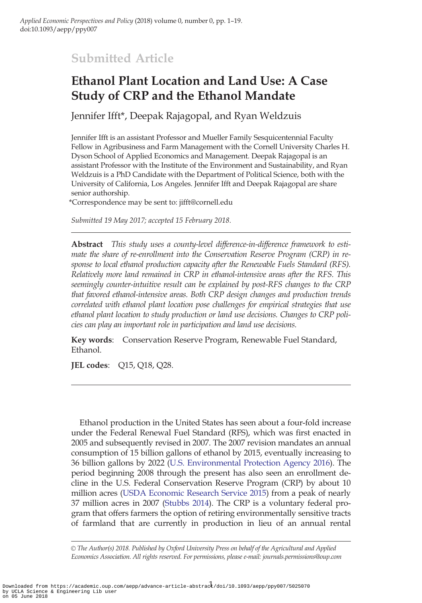# Submitted Article

# Ethanol Plant Location and Land Use: A Case Study of CRP and the Ethanol Mandate

Jennifer Ifft\*, Deepak Rajagopal, and Ryan Weldzuis

Jennifer Ifft is an assistant Professor and Mueller Family Sesquicentennial Faculty Fellow in Agribusiness and Farm Management with the Cornell University Charles H. Dyson School of Applied Economics and Management. Deepak Rajagopal is an assistant Professor with the Institute of the Environment and Sustainability, and Ryan Weldzuis is a PhD Candidate with the Department of Political Science, both with the University of California, Los Angeles. Jennifer Ifft and Deepak Rajagopal are share senior authorship.

\*Correspondence may be sent to: jifft@cornell.edu

Submitted 19 May 2017; accepted 15 February 2018.

Abstract This study uses a county-level difference-in-difference framework to estimate the share of re-enrollment into the Conservation Reserve Program (CRP) in response to local ethanol production capacity after the Renewable Fuels Standard (RFS). Relatively more land remained in CRP in ethanol-intensive areas after the RFS. This seemingly counter-intuitive result can be explained by post-RFS changes to the CRP that favored ethanol-intensive areas. Both CRP design changes and production trends correlated with ethanol plant location pose challenges for empirical strategies that use ethanol plant location to study production or land use decisions. Changes to CRP policies can play an important role in participation and land use decisions.

Key words: Conservation Reserve Program, Renewable Fuel Standard, Ethanol.

JEL codes: Q15, Q18, Q28.

Ethanol production in the United States has seen about a four-fold increase under the Federal Renewal Fuel Standard (RFS), which was first enacted in 2005 and subsequently revised in 2007. The 2007 revision mandates an annual consumption of 15 billion gallons of ethanol by 2015, eventually increasing to 36 billion gallons by 2022 ([U.S. Environmental Protection Agency 2016\)](#page-18-0). The period beginning 2008 through the present has also seen an enrollment decline in the U.S. Federal Conservation Reserve Program (CRP) by about 10 million acres ([USDA Economic Research Service 2015\)](#page-18-0) from a peak of nearly 37 million acres in 2007 [\(Stubbs 2014](#page-18-0)). The CRP is a voluntary federal program that offers farmers the option of retiring environmentally sensitive tracts of farmland that are currently in production in lieu of an annual rental

<sup>©</sup> The Author(s) 2018. Published by Oxford University Press on behalf of the Agricultural and Applied Economics Association. All rights reserved. For permissions, please e-mail: journals.permissions@oup.com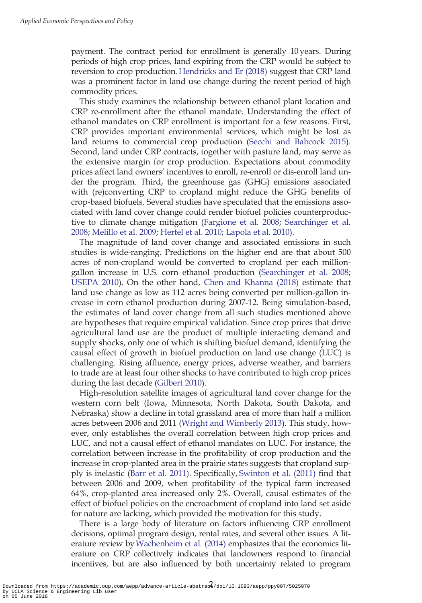payment. The contract period for enrollment is generally 10 years. During periods of high crop prices, land expiring from the CRP would be subject to reversion to crop production. [Hendricks and Er \(2018\)](#page-17-0) suggest that CRP land was a prominent factor in land use change during the recent period of high commodity prices.

This study examines the relationship between ethanol plant location and CRP re-enrollment after the ethanol mandate. Understanding the effect of ethanol mandates on CRP enrollment is important for a few reasons. First, CRP provides important environmental services, which might be lost as land returns to commercial crop production ([Secchi and Babcock 2015](#page-18-0)). Second, land under CRP contracts, together with pasture land, may serve as the extensive margin for crop production. Expectations about commodity prices affect land owners' incentives to enroll, re-enroll or dis-enroll land under the program. Third, the greenhouse gas (GHG) emissions associated with (re)converting CRP to cropland might reduce the GHG benefits of crop-based biofuels. Several studies have speculated that the emissions associated with land cover change could render biofuel policies counterproductive to climate change mitigation [\(Fargione et al. 2008;](#page-17-0) [Searchinger et al.](#page-18-0) [2008;](#page-18-0) [Melillo et al. 2009;](#page-18-0) [Hertel et al. 2010;](#page-17-0) [Lapola et al. 2010\)](#page-18-0).

The magnitude of land cover change and associated emissions in such studies is wide-ranging. Predictions on the higher end are that about 500 acres of non-cropland would be converted to cropland per each milliongallon increase in U.S. corn ethanol production [\(Searchinger et al. 2008](#page-18-0); [USEPA 2010\)](#page-18-0). On the other hand, [Chen and Khanna \(2018\)](#page-17-0) estimate that land use change as low as 112 acres being converted per million-gallon increase in corn ethanol production during 2007-12. Being simulation-based, the estimates of land cover change from all such studies mentioned above are hypotheses that require empirical validation. Since crop prices that drive agricultural land use are the product of multiple interacting demand and supply shocks, only one of which is shifting biofuel demand, identifying the causal effect of growth in biofuel production on land use change (LUC) is challenging. Rising affluence, energy prices, adverse weather, and barriers to trade are at least four other shocks to have contributed to high crop prices during the last decade ([Gilbert 2010\)](#page-17-0).

High-resolution satellite images of agricultural land cover change for the western corn belt (Iowa, Minnesota, North Dakota, South Dakota, and Nebraska) show a decline in total grassland area of more than half a million acres between 2006 and 2011 ([Wright and Wimberly 2013\)](#page-18-0). This study, however, only establishes the overall correlation between high crop prices and LUC, and not a causal effect of ethanol mandates on LUC. For instance, the correlation between increase in the profitability of crop production and the increase in crop-planted area in the prairie states suggests that cropland supply is inelastic [\(Barr et al. 2011\)](#page-17-0). Specifically, [Swinton et al. \(2011\)](#page-18-0) find that between 2006 and 2009, when profitability of the typical farm increased 64%, crop-planted area increased only 2%. Overall, causal estimates of the effect of biofuel policies on the encroachment of cropland into land set aside for nature are lacking, which provided the motivation for this study.

There is a large body of literature on factors influencing CRP enrollment decisions, optimal program design, rental rates, and several other issues. A literature review by[Wachenheim et al. \(2014\)](#page-18-0) emphasizes that the economics literature on CRP collectively indicates that landowners respond to financial incentives, but are also influenced by both uncertainty related to program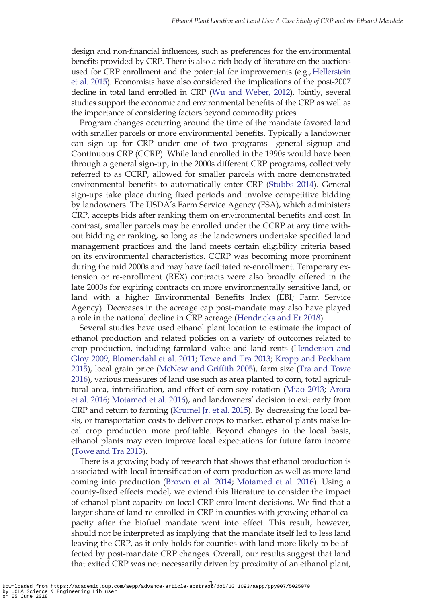design and non-financial influences, such as preferences for the environmental benefits provided by CRP. There is also a rich body of literature on the auctions used for CRP enrollment and the potential for improvements (e.g., [Hellerstein](#page-17-0) [et al. 2015\)](#page-17-0). Economists have also considered the implications of the post-2007 decline in total land enrolled in CRP [\(Wu and Weber, 2012](#page-18-0)). Jointly, several studies support the economic and environmental benefits of the CRP as well as the importance of considering factors beyond commodity prices.

Program changes occurring around the time of the mandate favored land with smaller parcels or more environmental benefits. Typically a landowner can sign up for CRP under one of two programs—general signup and Continuous CRP (CCRP). While land enrolled in the 1990s would have been through a general sign-up, in the 2000s different CRP programs, collectively referred to as CCRP, allowed for smaller parcels with more demonstrated environmental benefits to automatically enter CRP [\(Stubbs 2014\)](#page-18-0). General sign-ups take place during fixed periods and involve competitive bidding by landowners. The USDA's Farm Service Agency (FSA), which administers CRP, accepts bids after ranking them on environmental benefits and cost. In contrast, smaller parcels may be enrolled under the CCRP at any time without bidding or ranking, so long as the landowners undertake specified land management practices and the land meets certain eligibility criteria based on its environmental characteristics. CCRP was becoming more prominent during the mid 2000s and may have facilitated re-enrollment. Temporary extension or re-enrollment (REX) contracts were also broadly offered in the late 2000s for expiring contracts on more environmentally sensitive land, or land with a higher Environmental Benefits Index (EBI; Farm Service Agency). Decreases in the acreage cap post-mandate may also have played a role in the national decline in CRP acreage [\(Hendricks and Er 2018\)](#page-17-0).

Several studies have used ethanol plant location to estimate the impact of ethanol production and related policies on a variety of outcomes related to crop production, including farmland value and land rents ([Henderson and](#page-17-0) [Gloy 2009;](#page-17-0) [Blomendahl et al. 2011](#page-17-0); [Towe and Tra 2013](#page-18-0); [Kropp and Peckham](#page-17-0) [2015\)](#page-17-0), local grain price ([McNew and Griffith 2005](#page-18-0)), farm size [\(Tra and Towe](#page-18-0) [2016\)](#page-18-0), various measures of land use such as area planted to corn, total agricultural area, intensification, and effect of corn-soy rotation ([Miao 2013](#page-18-0); [Arora](#page-17-0) [et al. 2016](#page-17-0); [Motamed et al. 2016](#page-18-0)), and landowners' decision to exit early from CRP and return to farming [\(Krumel Jr. et al. 2015](#page-17-0)). By decreasing the local basis, or transportation costs to deliver crops to market, ethanol plants make local crop production more profitable. Beyond changes to the local basis, ethanol plants may even improve local expectations for future farm income [\(Towe and Tra 2013](#page-18-0)).

There is a growing body of research that shows that ethanol production is associated with local intensification of corn production as well as more land coming into production ([Brown et al. 2014;](#page-17-0) [Motamed et al. 2016\)](#page-18-0). Using a county-fixed effects model, we extend this literature to consider the impact of ethanol plant capacity on local CRP enrollment decisions. We find that a larger share of land re-enrolled in CRP in counties with growing ethanol capacity after the biofuel mandate went into effect. This result, however, should not be interpreted as implying that the mandate itself led to less land leaving the CRP, as it only holds for counties with land more likely to be affected by post-mandate CRP changes. Overall, our results suggest that land that exited CRP was not necessarily driven by proximity of an ethanol plant,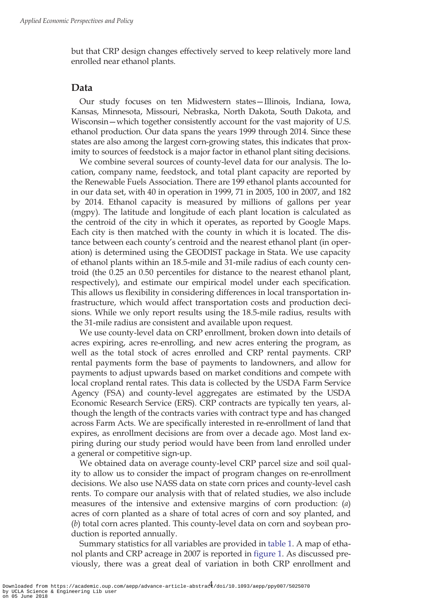but that CRP design changes effectively served to keep relatively more land enrolled near ethanol plants.

## Data

Our study focuses on ten Midwestern states—Illinois, Indiana, Iowa, Kansas, Minnesota, Missouri, Nebraska, North Dakota, South Dakota, and Wisconsin—which together consistently account for the vast majority of U.S. ethanol production. Our data spans the years 1999 through 2014. Since these states are also among the largest corn-growing states, this indicates that proximity to sources of feedstock is a major factor in ethanol plant siting decisions.

We combine several sources of county-level data for our analysis. The location, company name, feedstock, and total plant capacity are reported by the Renewable Fuels Association. There are 199 ethanol plants accounted for in our data set, with 40 in operation in 1999, 71 in 2005, 100 in 2007, and 182 by 2014. Ethanol capacity is measured by millions of gallons per year (mgpy). The latitude and longitude of each plant location is calculated as the centroid of the city in which it operates, as reported by Google Maps. Each city is then matched with the county in which it is located. The distance between each county's centroid and the nearest ethanol plant (in operation) is determined using the GEODIST package in Stata. We use capacity of ethanol plants within an 18.5-mile and 31-mile radius of each county centroid (the 0.25 an 0.50 percentiles for distance to the nearest ethanol plant, respectively), and estimate our empirical model under each specification. This allows us flexibility in considering differences in local transportation infrastructure, which would affect transportation costs and production decisions. While we only report results using the 18.5-mile radius, results with the 31-mile radius are consistent and available upon request.

We use county-level data on CRP enrollment, broken down into details of acres expiring, acres re-enrolling, and new acres entering the program, as well as the total stock of acres enrolled and CRP rental payments. CRP rental payments form the base of payments to landowners, and allow for payments to adjust upwards based on market conditions and compete with local cropland rental rates. This data is collected by the USDA Farm Service Agency (FSA) and county-level aggregates are estimated by the USDA Economic Research Service (ERS). CRP contracts are typically ten years, although the length of the contracts varies with contract type and has changed across Farm Acts. We are specifically interested in re-enrollment of land that expires, as enrollment decisions are from over a decade ago. Most land expiring during our study period would have been from land enrolled under a general or competitive sign-up.

We obtained data on average county-level CRP parcel size and soil quality to allow us to consider the impact of program changes on re-enrollment decisions. We also use NASS data on state corn prices and county-level cash rents. To compare our analysis with that of related studies, we also include measures of the intensive and extensive margins of corn production: (a) acres of corn planted as a share of total acres of corn and soy planted, and (b) total corn acres planted. This county-level data on corn and soybean production is reported annually.

Summary statistics for all variables are provided in [table 1.](#page-4-0) A map of ethanol plants and CRP acreage in 2007 is reported in [figure 1.](#page-4-0) As discussed previously, there was a great deal of variation in both CRP enrollment and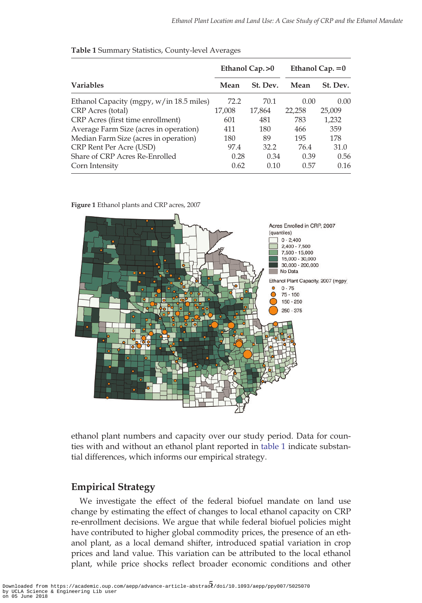|                                          |        | Ethanol Cap. > 0 | Ethanol Cap. $=0$ |          |
|------------------------------------------|--------|------------------|-------------------|----------|
| <b>Variables</b>                         | Mean   | St. Dev.         | Mean              | St. Dev. |
| Ethanol Capacity (mgpy, w/in 18.5 miles) | 72.2   | 70.1             | 0.00              | 0.00     |
| CRP Acres (total)                        | 17,008 | 17,864           | 22,258            | 25,009   |
| CRP Acres (first time enrollment)        | 601    | 481              | 783               | 1,232    |
| Average Farm Size (acres in operation)   | 411    | 180              | 466               | 359      |
| Median Farm Size (acres in operation)    | 180    | 89               | 195               | 178      |
| CRP Rent Per Acre (USD)                  | 97.4   | 32.2             | 76.4              | 31.0     |
| Share of CRP Acres Re-Enrolled           | 0.28   | 0.34             | 0.39              | 0.56     |
| Corn Intensity                           | 0.62   | 0.10             | 0.57              | 0.16     |

<span id="page-4-0"></span>Table 1 Summary Statistics, County-level Averages



Figure 1 Ethanol plants and CRP acres, 2007

ethanol plant numbers and capacity over our study period. Data for counties with and without an ethanol plant reported in table 1 indicate substantial differences, which informs our empirical strategy.

## Empirical Strategy

We investigate the effect of the federal biofuel mandate on land use change by estimating the effect of changes to local ethanol capacity on CRP re-enrollment decisions. We argue that while federal biofuel policies might have contributed to higher global commodity prices, the presence of an ethanol plant, as a local demand shifter, introduced spatial variation in crop prices and land value. This variation can be attributed to the local ethanol plant, while price shocks reflect broader economic conditions and other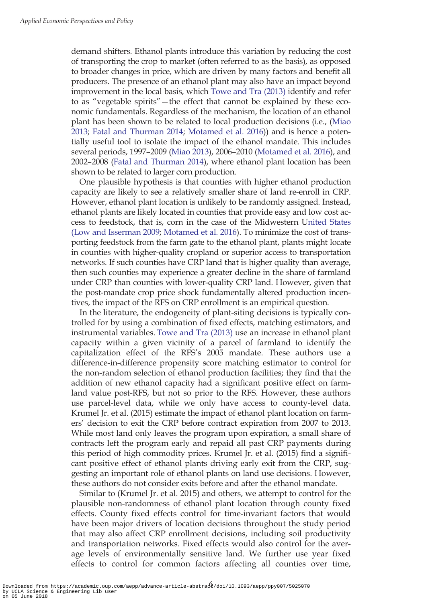demand shifters. Ethanol plants introduce this variation by reducing the cost of transporting the crop to market (often referred to as the basis), as opposed to broader changes in price, which are driven by many factors and benefit all producers. The presence of an ethanol plant may also have an impact beyond improvement in the local basis, which [Towe and Tra \(2013\)](#page-18-0) identify and refer to as "vegetable spirits"—the effect that cannot be explained by these economic fundamentals. Regardless of the mechanism, the location of an ethanol plant has been shown to be related to local production decisions (i.e., ([Miao](#page-18-0) [2013;](#page-18-0) [Fatal and Thurman 2014;](#page-17-0) [Motamed et al. 2016](#page-18-0))) and is hence a potentially useful tool to isolate the impact of the ethanol mandate. This includes several periods, 1997–2009 ([Miao 2013](#page-18-0)), 2006–2010 [\(Motamed et al. 2016](#page-18-0)), and 2002–2008 ([Fatal and Thurman 2014](#page-17-0)), where ethanol plant location has been shown to be related to larger corn production.

One plausible hypothesis is that counties with higher ethanol production capacity are likely to see a relatively smaller share of land re-enroll in CRP. However, ethanol plant location is unlikely to be randomly assigned. Instead, ethanol plants are likely located in counties that provide easy and low cost access to feedstock, that is, corn in the case of the Midwestern U[nited States](#page-18-0) [\(Low and Isserman 2009](#page-18-0); [Motamed et al. 2016\)](#page-18-0). To minimize the cost of transporting feedstock from the farm gate to the ethanol plant, plants might locate in counties with higher-quality cropland or superior access to transportation networks. If such counties have CRP land that is higher quality than average, then such counties may experience a greater decline in the share of farmland under CRP than counties with lower-quality CRP land. However, given that the post-mandate crop price shock fundamentally altered production incentives, the impact of the RFS on CRP enrollment is an empirical question.

In the literature, the endogeneity of plant-siting decisions is typically controlled for by using a combination of fixed effects, matching estimators, and instrumental variables. [Towe and Tra \(2013\)](#page-18-0) use an increase in ethanol plant capacity within a given vicinity of a parcel of farmland to identify the capitalization effect of the RFS's 2005 mandate. These authors use a difference-in-difference propensity score matching estimator to control for the non-random selection of ethanol production facilities; they find that the addition of new ethanol capacity had a significant positive effect on farmland value post-RFS, but not so prior to the RFS. However, these authors use parcel-level data, while we only have access to county-level data. Krumel Jr. et al. (2015) estimate the impact of ethanol plant location on farmers' decision to exit the CRP before contract expiration from 2007 to 2013. While most land only leaves the program upon expiration, a small share of contracts left the program early and repaid all past CRP payments during this period of high commodity prices. Krumel Jr. et al. (2015) find a significant positive effect of ethanol plants driving early exit from the CRP, suggesting an important role of ethanol plants on land use decisions. However, these authors do not consider exits before and after the ethanol mandate.

Similar to (Krumel Jr. et al. 2015) and others, we attempt to control for the plausible non-randomness of ethanol plant location through county fixed effects. County fixed effects control for time-invariant factors that would have been major drivers of location decisions throughout the study period that may also affect CRP enrollment decisions, including soil productivity and transportation networks. Fixed effects would also control for the average levels of environmentally sensitive land. We further use year fixed effects to control for common factors affecting all counties over time,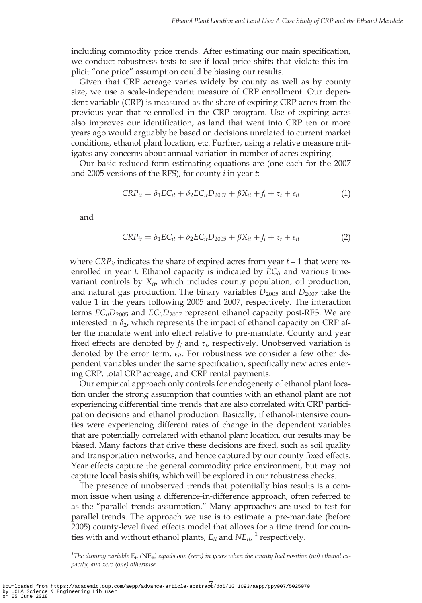<span id="page-6-0"></span>including commodity price trends. After estimating our main specification, we conduct robustness tests to see if local price shifts that violate this implicit "one price" assumption could be biasing our results.

Given that CRP acreage varies widely by county as well as by county size, we use a scale-independent measure of CRP enrollment. Our dependent variable (CRP) is measured as the share of expiring CRP acres from the previous year that re-enrolled in the CRP program. Use of expiring acres also improves our identification, as land that went into CRP ten or more years ago would arguably be based on decisions unrelated to current market conditions, ethanol plant location, etc. Further, using a relative measure mitigates any concerns about annual variation in number of acres expiring.

Our basic reduced-form estimating equations are (one each for the 2007 and 2005 versions of the RFS), for county  $i$  in year  $t$ :

$$
CRP_{it} = \delta_1 EC_{it} + \delta_2 EC_{it}D_{2007} + \beta X_{it} + f_i + \tau_t + \epsilon_{it}
$$
\n(1)

and

$$
CRP_{it} = \delta_1 EC_{it} + \delta_2 EC_{it}D_{2005} + \beta X_{it} + f_i + \tau_t + \epsilon_{it}
$$
\n<sup>(2)</sup>

where  $CRP_{it}$  indicates the share of expired acres from year  $t$  – 1 that were reenrolled in year t. Ethanol capacity is indicated by  $EC_{it}$  and various timevariant controls by  $X_{it}$ , which includes county population, oil production, and natural gas production. The binary variables  $D_{2005}$  and  $D_{2007}$  take the value 1 in the years following 2005 and 2007, respectively. The interaction terms  $EC_{it}D_{2005}$  and  $EC_{it}D_{2007}$  represent ethanol capacity post-RFS. We are interested in  $\delta_2$ , which represents the impact of ethanol capacity on CRP after the mandate went into effect relative to pre-mandate. County and year fixed effects are denoted by  $f_i$  and  $\tau_t$ , respectively. Unobserved variation is denoted by the error term,  $\epsilon_{it}$ . For robustness we consider a few other dependent variables under the same specification, specifically new acres entering CRP, total CRP acreage, and CRP rental payments.

Our empirical approach only controls for endogeneity of ethanol plant location under the strong assumption that counties with an ethanol plant are not experiencing differential time trends that are also correlated with CRP participation decisions and ethanol production. Basically, if ethanol-intensive counties were experiencing different rates of change in the dependent variables that are potentially correlated with ethanol plant location, our results may be biased. Many factors that drive these decisions are fixed, such as soil quality and transportation networks, and hence captured by our county fixed effects. Year effects capture the general commodity price environment, but may not capture local basis shifts, which will be explored in our robustness checks.

The presence of unobserved trends that potentially bias results is a common issue when using a difference-in-difference approach, often referred to as the "parallel trends assumption." Many approaches are used to test for parallel trends. The approach we use is to estimate a pre-mandate (before 2005) county-level fixed effects model that allows for a time trend for counties with and without ethanol plants,  $E_{it}$  and  $NE_{it}^{-1}$  respectively.

 $^{\rm 1}$ The dummy variable  $\rm E_{it}$  (N $\rm E_{it}$ ) equals one (zero) in years when the county had positive (no) ethanol capacity, and zero (one) otherwise.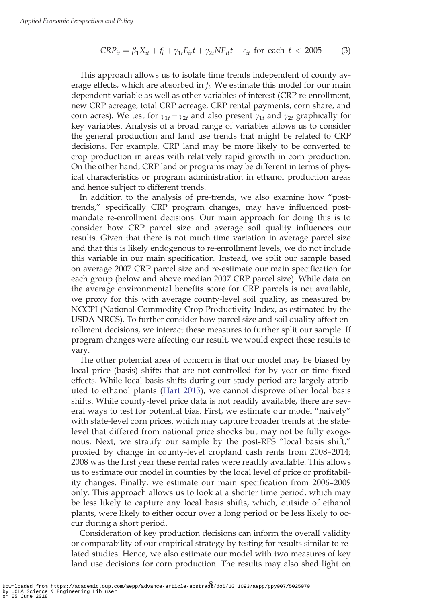$$
CRP_{it} = \beta_1 X_{it} + f_i + \gamma_{1t} E_{it} t + \gamma_{2t} NE_{it} t + \epsilon_{it} \text{ for each } t < 2005 \tag{3}
$$

This approach allows us to isolate time trends independent of county average effects, which are absorbed in  $f_i$ . We estimate this model for our main dependent variable as well as other variables of interest (CRP re-enrollment, new CRP acreage, total CRP acreage, CRP rental payments, corn share, and corn acres). We test for  $\gamma_{1t} = \gamma_{2t}$  and also present  $\gamma_{1t}$  and  $\gamma_{2t}$  graphically for key variables. Analysis of a broad range of variables allows us to consider the general production and land use trends that might be related to CRP decisions. For example, CRP land may be more likely to be converted to crop production in areas with relatively rapid growth in corn production. On the other hand, CRP land or programs may be different in terms of physical characteristics or program administration in ethanol production areas and hence subject to different trends.

In addition to the analysis of pre-trends, we also examine how "posttrends," specifically CRP program changes, may have influenced postmandate re-enrollment decisions. Our main approach for doing this is to consider how CRP parcel size and average soil quality influences our results. Given that there is not much time variation in average parcel size and that this is likely endogenous to re-enrollment levels, we do not include this variable in our main specification. Instead, we split our sample based on average 2007 CRP parcel size and re-estimate our main specification for each group (below and above median 2007 CRP parcel size). While data on the average environmental benefits score for CRP parcels is not available, we proxy for this with average county-level soil quality, as measured by NCCPI (National Commodity Crop Productivity Index, as estimated by the USDA NRCS). To further consider how parcel size and soil quality affect enrollment decisions, we interact these measures to further split our sample. If program changes were affecting our result, we would expect these results to vary.

The other potential area of concern is that our model may be biased by local price (basis) shifts that are not controlled for by year or time fixed effects. While local basis shifts during our study period are largely attributed to ethanol plants [\(Hart 2015\)](#page-17-0), we cannot disprove other local basis shifts. While county-level price data is not readily available, there are several ways to test for potential bias. First, we estimate our model "naively" with state-level corn prices, which may capture broader trends at the statelevel that differed from national price shocks but may not be fully exogenous. Next, we stratify our sample by the post-RFS "local basis shift," proxied by change in county-level cropland cash rents from 2008–2014; 2008 was the first year these rental rates were readily available. This allows us to estimate our model in counties by the local level of price or profitability changes. Finally, we estimate our main specification from 2006–2009 only. This approach allows us to look at a shorter time period, which may be less likely to capture any local basis shifts, which, outside of ethanol plants, were likely to either occur over a long period or be less likely to occur during a short period.

Consideration of key production decisions can inform the overall validity or comparability of our empirical strategy by testing for results similar to related studies. Hence, we also estimate our model with two measures of key land use decisions for corn production. The results may also shed light on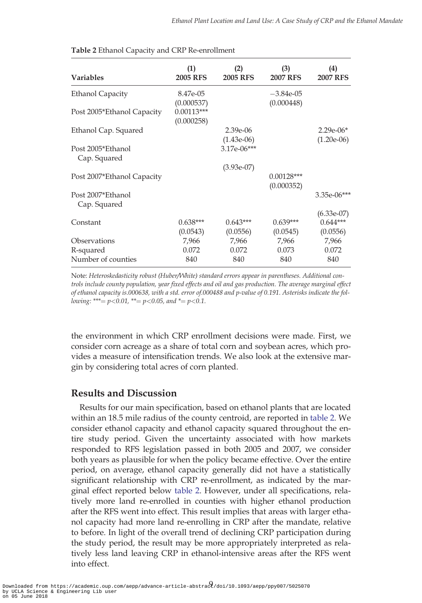| <b>Variables</b>                  | (1)<br><b>2005 RFS</b>     | (2)<br><b>2005 RFS</b> | (3)<br><b>2007 RFS</b>     | $\left( 4\right)$<br><b>2007 RFS</b> |
|-----------------------------------|----------------------------|------------------------|----------------------------|--------------------------------------|
| Ethanol Capacity                  | 8.47e-05<br>(0.000537)     |                        | $-3.84e-05$<br>(0.000448)  |                                      |
| Post 2005*Ethanol Capacity        | $0.00113***$<br>(0.000258) |                        |                            |                                      |
| Ethanol Cap. Squared              |                            | $2.39e-06$             |                            | $2.29e-06*$                          |
|                                   |                            | $(1.43e-06)$           |                            | $(1.20e-06)$                         |
| Post 2005*Ethanol<br>Cap. Squared |                            | $3.17e-06***$          |                            |                                      |
|                                   |                            | $(3.93e-07)$           |                            |                                      |
| Post 2007*Ethanol Capacity        |                            |                        | $0.00128***$<br>(0.000352) |                                      |
| Post 2007*Ethanol<br>Cap. Squared |                            |                        |                            | 3.35e-06***                          |
|                                   |                            |                        |                            | $(6.33e-07)$                         |
| Constant                          | $0.638***$<br>(0.0543)     | $0.643***$<br>(0.0556) | $0.639***$<br>(0.0545)     | $0.644***$<br>(0.0556)               |
| Observations                      | 7,966                      | 7,966                  | 7,966                      | 7,966                                |
| R-squared                         | 0.072                      | 0.072                  | 0.073                      | 0.072                                |
| Number of counties                | 840                        | 840                    | 840                        | 840                                  |

Table 2 Ethanol Capacity and CRP Re-enrollment

Note: Heteroskedasticity robust (Huber/White) standard errors appear in parentheses. Additional controls include county population, year fixed effects and oil and gas production. The average marginal effect of ethanol capacity is.000638, with a std. error of.000488 and p-value of 0.191. Asterisks indicate the following: \*\*\* =  $p < 0.01$ , \*\* =  $p < 0.05$ , and \* =  $p < 0.1$ .

the environment in which CRP enrollment decisions were made. First, we consider corn acreage as a share of total corn and soybean acres, which provides a measure of intensification trends. We also look at the extensive margin by considering total acres of corn planted.

## Results and Discussion

Results for our main specification, based on ethanol plants that are located within an 18.5 mile radius of the county centroid, are reported in table 2. We consider ethanol capacity and ethanol capacity squared throughout the entire study period. Given the uncertainty associated with how markets responded to RFS legislation passed in both 2005 and 2007, we consider both years as plausible for when the policy became effective. Over the entire period, on average, ethanol capacity generally did not have a statistically significant relationship with CRP re-enrollment, as indicated by the marginal effect reported below table 2. However, under all specifications, relatively more land re-enrolled in counties with higher ethanol production after the RFS went into effect. This result implies that areas with larger ethanol capacity had more land re-enrolling in CRP after the mandate, relative to before. In light of the overall trend of declining CRP participation during the study period, the result may be more appropriately interpreted as relatively less land leaving CRP in ethanol-intensive areas after the RFS went into effect.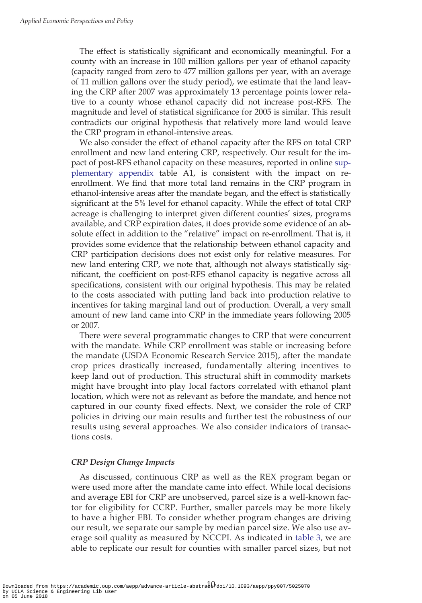The effect is statistically significant and economically meaningful. For a county with an increase in 100 million gallons per year of ethanol capacity (capacity ranged from zero to 477 million gallons per year, with an average of 11 million gallons over the study period), we estimate that the land leaving the CRP after 2007 was approximately 13 percentage points lower relative to a county whose ethanol capacity did not increase post-RFS. The magnitude and level of statistical significance for 2005 is similar. This result contradicts our original hypothesis that relatively more land would leave the CRP program in ethanol-intensive areas.

We also consider the effect of ethanol capacity after the RFS on total CRP enrollment and new land entering CRP, respectively. Our result for the impact of post-RFS ethanol capacity on these measures, reported in online [sup](https://academic.oup.com/aepp/article-lookup/doi/10.1093/aepp/ppy007#supplementary-data)[plementary appendix](https://academic.oup.com/aepp/article-lookup/doi/10.1093/aepp/ppy007#supplementary-data) table A1, is consistent with the impact on reenrollment. We find that more total land remains in the CRP program in ethanol-intensive areas after the mandate began, and the effect is statistically significant at the 5% level for ethanol capacity. While the effect of total CRP acreage is challenging to interpret given different counties' sizes, programs available, and CRP expiration dates, it does provide some evidence of an absolute effect in addition to the "relative" impact on re-enrollment. That is, it provides some evidence that the relationship between ethanol capacity and CRP participation decisions does not exist only for relative measures. For new land entering CRP, we note that, although not always statistically significant, the coefficient on post-RFS ethanol capacity is negative across all specifications, consistent with our original hypothesis. This may be related to the costs associated with putting land back into production relative to incentives for taking marginal land out of production. Overall, a very small amount of new land came into CRP in the immediate years following 2005 or 2007.

There were several programmatic changes to CRP that were concurrent with the mandate. While CRP enrollment was stable or increasing before the mandate (USDA Economic Research Service 2015), after the mandate crop prices drastically increased, fundamentally altering incentives to keep land out of production. This structural shift in commodity markets might have brought into play local factors correlated with ethanol plant location, which were not as relevant as before the mandate, and hence not captured in our county fixed effects. Next, we consider the role of CRP policies in driving our main results and further test the robustness of our results using several approaches. We also consider indicators of transactions costs.

### CRP Design Change Impacts

As discussed, continuous CRP as well as the REX program began or were used more after the mandate came into effect. While local decisions and average EBI for CRP are unobserved, parcel size is a well-known factor for eligibility for CCRP. Further, smaller parcels may be more likely to have a higher EBI. To consider whether program changes are driving our result, we separate our sample by median parcel size. We also use average soil quality as measured by NCCPI. As indicated in [table 3](#page-10-0), we are able to replicate our result for counties with smaller parcel sizes, but not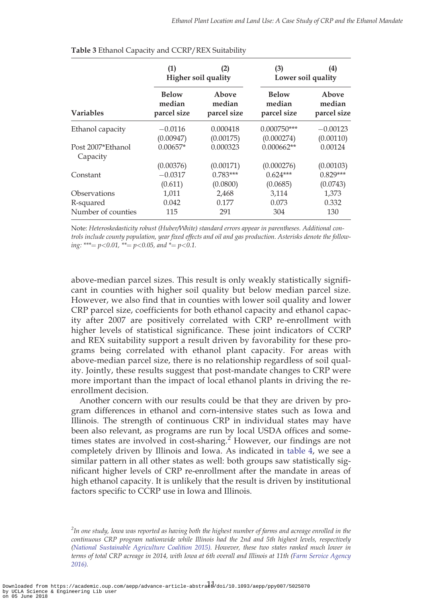|                               | (1)                                   | (2)<br>Higher soil quality     | (3)<br>(4)<br>Lower soil quality      |                                |  |
|-------------------------------|---------------------------------------|--------------------------------|---------------------------------------|--------------------------------|--|
| <b>Variables</b>              | <b>Below</b><br>median<br>parcel size | Above<br>median<br>parcel size | <b>Below</b><br>median<br>parcel size | Above<br>median<br>parcel size |  |
| Ethanol capacity              | $-0.0116$                             | 0.000418                       | $0.000750***$                         | $-0.00123$                     |  |
|                               | (0.00947)                             | (0.00175)                      | (0.000274)                            | (0.00110)                      |  |
| Post 2007*Ethanol<br>Capacity | $0.00657*$                            | 0.000323                       | $0.000662**$                          | 0.00124                        |  |
|                               | (0.00376)                             | (0.00171)                      | (0.000276)                            | (0.00103)                      |  |
| Constant                      | $-0.0317$                             | $0.783***$                     | $0.624***$                            | $0.829***$                     |  |
|                               | (0.611)                               | (0.0800)                       | (0.0685)                              | (0.0743)                       |  |
| Observations                  | 1.011                                 | 2,468                          | 3.114                                 | 1,373                          |  |
| R-squared                     | 0.042                                 | 0.177                          | 0.073                                 | 0.332                          |  |
| Number of counties            | 115                                   | 291                            | 304                                   | 130                            |  |

#### <span id="page-10-0"></span>Table 3 Ethanol Capacity and CCRP/REX Suitability

Note: Heteroskedasticity robust (Huber/White) standard errors appear in parentheses. Additional controls include county population, year fixed effects and oil and gas production. Asterisks denote the following: \*\*\*=  $p < 0.01$ , \*\*=  $p < 0.05$ , and \*=  $p < 0.1$ .

above-median parcel sizes. This result is only weakly statistically significant in counties with higher soil quality but below median parcel size. However, we also find that in counties with lower soil quality and lower CRP parcel size, coefficients for both ethanol capacity and ethanol capacity after 2007 are positively correlated with CRP re-enrollment with higher levels of statistical significance. These joint indicators of CCRP and REX suitability support a result driven by favorability for these programs being correlated with ethanol plant capacity. For areas with above-median parcel size, there is no relationship regardless of soil quality. Jointly, these results suggest that post-mandate changes to CRP were more important than the impact of local ethanol plants in driving the reenrollment decision.

Another concern with our results could be that they are driven by program differences in ethanol and corn-intensive states such as Iowa and Illinois. The strength of continuous CRP in individual states may have been also relevant, as programs are run by local USDA offices and sometimes states are involved in cost-sharing.<sup>2</sup> However, our findings are not completely driven by Illinois and Iowa. As indicated in [table 4](#page-11-0), we see a similar pattern in all other states as well: both groups saw statistically significant higher levels of CRP re-enrollment after the mandate in areas of high ethanol capacity. It is unlikely that the result is driven by institutional factors specific to CCRP use in Iowa and Illinois.

 $^2$ In one study, Iowa was reported as having both the highest number of farms and acreage enrolled in the continuous CRP program nationwide while Illinois had the 2nd and 5th highest levels, respectively ([National Sustainable Agriculture Coalition 2015\)](#page-18-0). However, these two states ranked much lower in terms of total CRP acreage in 2014, with Iowa at 6th overall and Illinois at 11th ([Farm Service Agency](#page-17-0) [2016\).](#page-17-0)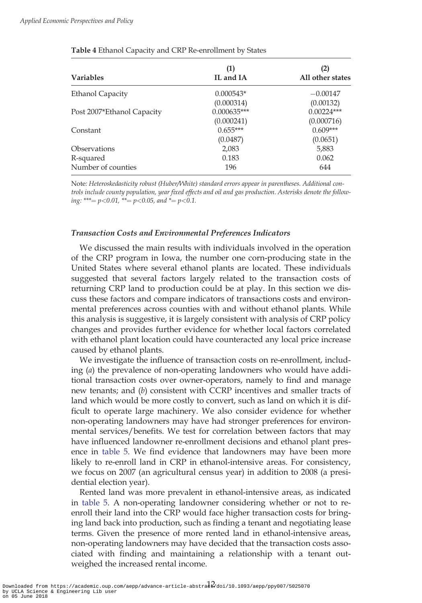| <b>Variables</b>           | (1)<br>IL and IA | (2)<br>All other states |  |
|----------------------------|------------------|-------------------------|--|
| <b>Ethanol Capacity</b>    | $0.000543*$      | $-0.00147$              |  |
|                            | (0.000314)       | (0.00132)               |  |
| Post 2007*Ethanol Capacity | $0.000635***$    | $0.00224***$            |  |
|                            | (0.000241)       | (0.000716)              |  |
| Constant                   | $0.655***$       | $0.609***$              |  |
|                            | (0.0487)         | (0.0651)                |  |
| Observations               | 2,083            | 5,883                   |  |
| R-squared                  | 0.183            | 0.062                   |  |
| Number of counties         | 196              | 644                     |  |

#### <span id="page-11-0"></span>Table 4 Ethanol Capacity and CRP Re-enrollment by States

Note: Heteroskedasticity robust (Huber/White) standard errors appear in parentheses. Additional controls include county population, year fixed effects and oil and gas production. Asterisks denote the following: \*\*\* =  $p < 0.01$ , \*\* =  $p < 0.05$ , and \* =  $p < 0.1$ .

#### Transaction Costs and Environmental Preferences Indicators

We discussed the main results with individuals involved in the operation of the CRP program in Iowa, the number one corn-producing state in the United States where several ethanol plants are located. These individuals suggested that several factors largely related to the transaction costs of returning CRP land to production could be at play. In this section we discuss these factors and compare indicators of transactions costs and environmental preferences across counties with and without ethanol plants. While this analysis is suggestive, it is largely consistent with analysis of CRP policy changes and provides further evidence for whether local factors correlated with ethanol plant location could have counteracted any local price increase caused by ethanol plants.

We investigate the influence of transaction costs on re-enrollment, including (a) the prevalence of non-operating landowners who would have additional transaction costs over owner-operators, namely to find and manage new tenants; and (b) consistent with CCRP incentives and smaller tracts of land which would be more costly to convert, such as land on which it is difficult to operate large machinery. We also consider evidence for whether non-operating landowners may have had stronger preferences for environmental services/benefits. We test for correlation between factors that may have influenced landowner re-enrollment decisions and ethanol plant presence in [table 5.](#page-12-0) We find evidence that landowners may have been more likely to re-enroll land in CRP in ethanol-intensive areas. For consistency, we focus on 2007 (an agricultural census year) in addition to 2008 (a presidential election year).

Rented land was more prevalent in ethanol-intensive areas, as indicated in [table 5](#page-12-0). A non-operating landowner considering whether or not to reenroll their land into the CRP would face higher transaction costs for bringing land back into production, such as finding a tenant and negotiating lease terms. Given the presence of more rented land in ethanol-intensive areas, non-operating landowners may have decided that the transaction costs associated with finding and maintaining a relationship with a tenant outweighed the increased rental income.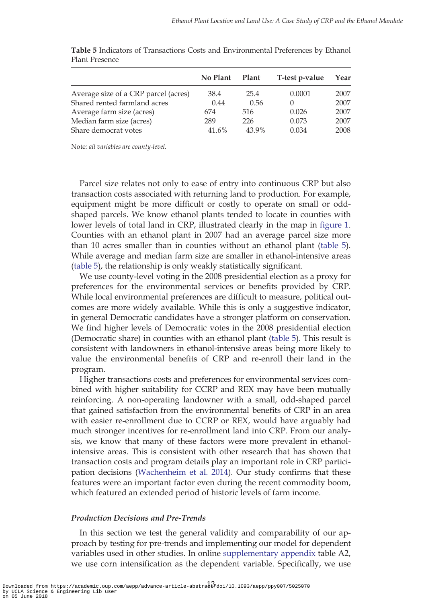| No Plant | Plant | T-test p-value | Year |
|----------|-------|----------------|------|
| 38.4     | 25.4  | 0.0001         | 2007 |
| 0.44     | 0.56  |                | 2007 |
| 674      | 516   | 0.026          | 2007 |
| 289      | 226   | 0.073          | 2007 |
| 41.6%    | 43.9% | 0.034          | 2008 |
|          |       |                |      |

<span id="page-12-0"></span>Table 5 Indicators of Transactions Costs and Environmental Preferences by Ethanol Plant Presence

Note: all variables are county-level.

Parcel size relates not only to ease of entry into continuous CRP but also transaction costs associated with returning land to production. For example, equipment might be more difficult or costly to operate on small or oddshaped parcels. We know ethanol plants tended to locate in counties with lower levels of total land in CRP, illustrated clearly in the map in [figure 1](#page-4-0). Counties with an ethanol plant in 2007 had an average parcel size more than 10 acres smaller than in counties without an ethanol plant (table 5). While average and median farm size are smaller in ethanol-intensive areas (table 5), the relationship is only weakly statistically significant.

We use county-level voting in the 2008 presidential election as a proxy for preferences for the environmental services or benefits provided by CRP. While local environmental preferences are difficult to measure, political outcomes are more widely available. While this is only a suggestive indicator, in general Democratic candidates have a stronger platform on conservation. We find higher levels of Democratic votes in the 2008 presidential election (Democratic share) in counties with an ethanol plant (table 5). This result is consistent with landowners in ethanol-intensive areas being more likely to value the environmental benefits of CRP and re-enroll their land in the program.

Higher transactions costs and preferences for environmental services combined with higher suitability for CCRP and REX may have been mutually reinforcing. A non-operating landowner with a small, odd-shaped parcel that gained satisfaction from the environmental benefits of CRP in an area with easier re-enrollment due to CCRP or REX, would have arguably had much stronger incentives for re-enrollment land into CRP. From our analysis, we know that many of these factors were more prevalent in ethanolintensive areas. This is consistent with other research that has shown that transaction costs and program details play an important role in CRP participation decisions ([Wachenheim et al. 2014\)](#page-18-0). Our study confirms that these features were an important factor even during the recent commodity boom, which featured an extended period of historic levels of farm income.

#### Production Decisions and Pre-Trends

In this section we test the general validity and comparability of our approach by testing for pre-trends and implementing our model for dependent variables used in other studies. In online [supplementary appendix](https://academic.oup.com/aepp/article-lookup/doi/10.1093/aepp/ppy007#supplementary-data) table A2, we use corn intensification as the dependent variable. Specifically, we use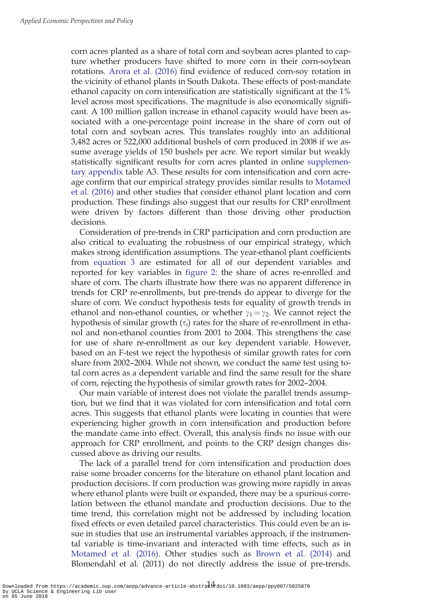corn acres planted as a share of total corn and soybean acres planted to capture whether producers have shifted to more corn in their corn-soybean rotations. [Arora et al. \(2016\)](#page-17-0) find evidence of reduced corn-soy rotation in the vicinity of ethanol plants in South Dakota. These effects of post-mandate ethanol capacity on corn intensification are statistically significant at the 1% level across most specifications. The magnitude is also economically significant. A 100 million gallon increase in ethanol capacity would have been associated with a one-percentage point increase in the share of corn out of total corn and soybean acres. This translates roughly into an additional 3,482 acres or 522,000 additional bushels of corn produced in 2008 if we assume average yields of 150 bushels per acre. We report similar but weakly statistically significant results for corn acres planted in online [supplemen](https://academic.oup.com/aepp/article-lookup/doi/10.1093/aepp/ppy007#supplementary-data)[tary appendix](https://academic.oup.com/aepp/article-lookup/doi/10.1093/aepp/ppy007#supplementary-data) table A3. These results for corn intensification and corn acreage confirm that our empirical strategy provides similar results to [Motamed](#page-18-0) [et al. \(2016\)](#page-18-0) and other studies that consider ethanol plant location and corn production. These findings also suggest that our results for CRP enrollment were driven by factors different than those driving other production decisions.

Consideration of pre-trends in CRP participation and corn production are also critical to evaluating the robustness of our empirical strategy, which makes strong identification assumptions. The year-ethanol plant coefficients from [equation 3](#page-6-0) are estimated for all of our dependent variables and reported for key variables in [figure 2](#page-14-0): the share of acres re-enrolled and share of corn. The charts illustrate how there was no apparent difference in trends for CRP re-enrollments, but pre-trends do appear to diverge for the share of corn. We conduct hypothesis tests for equality of growth trends in ethanol and non-ethanol counties, or whether  $\gamma_1 = \gamma_2$ . We cannot reject the hypothesis of similar growth  $(\tau_t)$  rates for the share of re-enrollment in ethanol and non-ethanol counties from 2001 to 2004. This strengthens the case for use of share re-enrollment as our key dependent variable. However, based on an F-test we reject the hypothesis of similar growth rates for corn share from 2002–2004. While not shown, we conduct the same test using total corn acres as a dependent variable and find the same result for the share of corn, rejecting the hypothesis of similar growth rates for 2002–2004.

Our main variable of interest does not violate the parallel trends assumption, but we find that it was violated for corn intensification and total corn acres. This suggests that ethanol plants were locating in counties that were experiencing higher growth in corn intensification and production before the mandate came into effect. Overall, this analysis finds no issue with our approach for CRP enrollment, and points to the CRP design changes discussed above as driving our results.

The lack of a parallel trend for corn intensification and production does raise some broader concerns for the literature on ethanol plant location and production decisions. If corn production was growing more rapidly in areas where ethanol plants were built or expanded, there may be a spurious correlation between the ethanol mandate and production decisions. Due to the time trend, this correlation might not be addressed by including location fixed effects or even detailed parcel characteristics. This could even be an issue in studies that use an instrumental variables approach, if the instrumental variable is time-invariant and interacted with time effects, such as in [Motamed et al. \(2016\)](#page-18-0). Other studies such as [Brown et al. \(2014\)](#page-17-0) and Blomendahl et al. (2011) do not directly address the issue of pre-trends.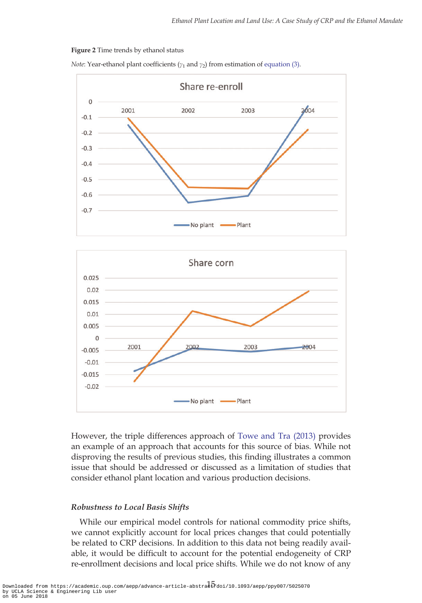#### <span id="page-14-0"></span>Figure 2 Time trends by ethanol status



*Note*: Year-ethanol plant coefficients ( $\gamma_1$  and  $\gamma_2$ ) from estimation of [equation \(3\).](#page-6-0)



However, the triple differences approach of [Towe and Tra \(2013\)](#page-18-0) provides an example of an approach that accounts for this source of bias. While not disproving the results of previous studies, this finding illustrates a common issue that should be addressed or discussed as a limitation of studies that consider ethanol plant location and various production decisions.

#### Robustness to Local Basis Shifts

While our empirical model controls for national commodity price shifts, we cannot explicitly account for local prices changes that could potentially be related to CRP decisions. In addition to this data not being readily available, it would be difficult to account for the potential endogeneity of CRP re-enrollment decisions and local price shifts. While we do not know of any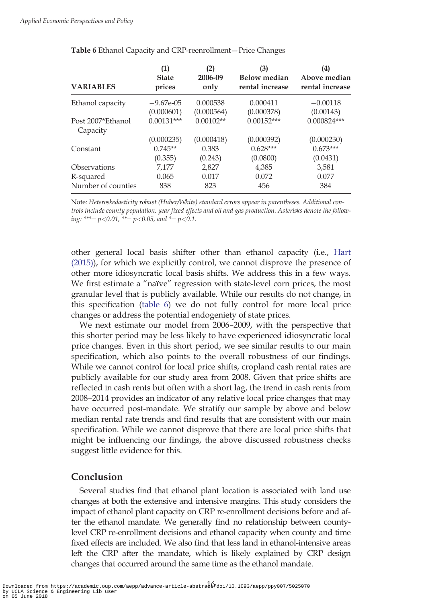| <b>VARIABLES</b>              | (1)<br><b>State</b><br>prices | (2)<br>2006-09<br>only | (3)<br><b>Below median</b><br>rental increase | (4)<br>Above median<br>rental increase |
|-------------------------------|-------------------------------|------------------------|-----------------------------------------------|----------------------------------------|
| Ethanol capacity              | $-9.67e-0.5$                  | 0.000538               | 0.000411                                      | $-0.00118$                             |
|                               | (0.000601)                    | (0.000564)             | (0.000378)                                    | (0.00143)                              |
| Post 2007*Ethanol<br>Capacity | $0.00131***$                  | $0.00102**$            | $0.00152***$                                  | $0.000824***$                          |
|                               | (0.000235)                    | (0.000418)             | (0.000392)                                    | (0.000230)                             |
| Constant                      | $0.745**$                     | 0.383                  | $0.628***$                                    | $0.673***$                             |
|                               | (0.355)                       | (0.243)                | (0.0800)                                      | (0.0431)                               |
| Observations                  | 7,177                         | 2,827                  | 4,385                                         | 3,581                                  |
| R-squared                     | 0.065                         | 0.017                  | 0.072                                         | 0.077                                  |
| Number of counties            | 838                           | 823                    | 456                                           | 384                                    |

|  |  |  |  | Table 6 Ethanol Capacity and CRP-reenrollment-Price Changes |  |  |
|--|--|--|--|-------------------------------------------------------------|--|--|
|--|--|--|--|-------------------------------------------------------------|--|--|

Note: Heteroskedasticity robust (Huber/White) standard errors appear in parentheses. Additional controls include county population, year fixed effects and oil and gas production. Asterisks denote the following: \*\*\* =  $p$  < 0.01, \*\* =  $p$  < 0.05, and \* =  $p$  < 0.1.

other general local basis shifter other than ethanol capacity (i.e., [Hart](#page-17-0) [\(2015\)](#page-17-0)), for which we explicitly control, we cannot disprove the presence of other more idiosyncratic local basis shifts. We address this in a few ways. We first estimate a "naïve" regression with state-level corn prices, the most granular level that is publicly available. While our results do not change, in this specification (table 6) we do not fully control for more local price changes or address the potential endogeniety of state prices.

We next estimate our model from 2006–2009, with the perspective that this shorter period may be less likely to have experienced idiosyncratic local price changes. Even in this short period, we see similar results to our main specification, which also points to the overall robustness of our findings. While we cannot control for local price shifts, cropland cash rental rates are publicly available for our study area from 2008. Given that price shifts are reflected in cash rents but often with a short lag, the trend in cash rents from 2008–2014 provides an indicator of any relative local price changes that may have occurred post-mandate. We stratify our sample by above and below median rental rate trends and find results that are consistent with our main specification. While we cannot disprove that there are local price shifts that might be influencing our findings, the above discussed robustness checks suggest little evidence for this.

## Conclusion

Several studies find that ethanol plant location is associated with land use changes at both the extensive and intensive margins. This study considers the impact of ethanol plant capacity on CRP re-enrollment decisions before and after the ethanol mandate. We generally find no relationship between countylevel CRP re-enrollment decisions and ethanol capacity when county and time fixed effects are included. We also find that less land in ethanol-intensive areas left the CRP after the mandate, which is likely explained by CRP design changes that occurred around the same time as the ethanol mandate.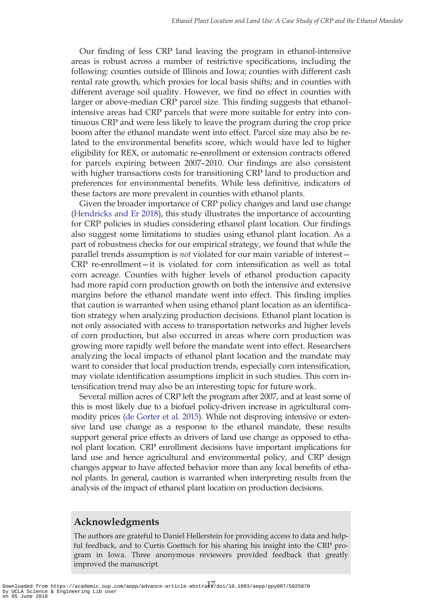Our finding of less CRP land leaving the program in ethanol-intensive areas is robust across a number of restrictive specifications, including the following: counties outside of Illinois and Iowa; counties with different cash rental rate growth, which proxies for local basis shifts; and in counties with different average soil quality. However, we find no effect in counties with larger or above-median CRP parcel size. This finding suggests that ethanolintensive areas had CRP parcels that were more suitable for entry into continuous CRP and were less likely to leave the program during the crop price boom after the ethanol mandate went into effect. Parcel size may also be related to the environmental benefits score, which would have led to higher eligibility for REX, or automatic re-enrollment or extension contracts offered for parcels expiring between 2007–2010. Our findings are also consistent with higher transactions costs for transitioning CRP land to production and preferences for environmental benefits. While less definitive, indicators of these factors are more prevalent in counties with ethanol plants.

Given the broader importance of CRP policy changes and land use change [\(Hendricks and Er 2018](#page-17-0)), this study illustrates the importance of accounting for CRP policies in studies considering ethanol plant location. Our findings also suggest some limitations to studies using ethanol plant location. As a part of robustness checks for our empirical strategy, we found that while the parallel trends assumption is not violated for our main variable of interest— CRP re-enrollment—it is violated for corn intensification as well as total corn acreage. Counties with higher levels of ethanol production capacity had more rapid corn production growth on both the intensive and extensive margins before the ethanol mandate went into effect. This finding implies that caution is warranted when using ethanol plant location as an identification strategy when analyzing production decisions. Ethanol plant location is not only associated with access to transportation networks and higher levels of corn production, but also occurred in areas where corn production was growing more rapidly well before the mandate went into effect. Researchers analyzing the local impacts of ethanol plant location and the mandate may want to consider that local production trends, especially corn intensification, may violate identification assumptions implicit in such studies. This corn intensification trend may also be an interesting topic for future work.

Several million acres of CRP left the program after 2007, and at least some of this is most likely due to a biofuel policy-driven increase in agricultural commodity prices ([de Gorter et al. 2015](#page-17-0)). While not disproving intensive or extensive land use change as a response to the ethanol mandate, these results support general price effects as drivers of land use change as opposed to ethanol plant location. CRP enrollment decisions have important implications for land use and hence agricultural and environmental policy, and CRP design changes appear to have affected behavior more than any local benefits of ethanol plants. In general, caution is warranted when interpreting results from the analysis of the impact of ethanol plant location on production decisions.

## Acknowledgments

The authors are grateful to Daniel Hellerstein for providing access to data and helpful feedback, and to Curtis Goettsch for his sharing his insight into the CRP program in Iowa. Three anonymous reviewers provided feedback that greatly improved the manuscript.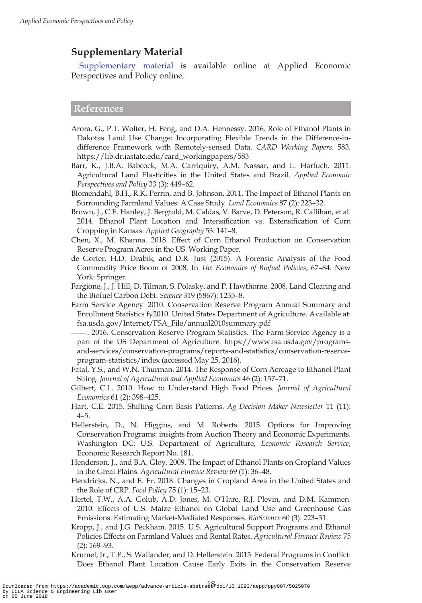## <span id="page-17-0"></span>Supplementary Material

[Supplementary material](https://academic.oup.com/aepp/article-lookup/doi/10.1093/aepp/ppy007#supplementary-data) is available online at Applied Economic Perspectives and Policy online.

## References

- Arora, G., P.T. Wolter, H. Feng, and D.A. Hennessy. 2016. Role of Ethanol Plants in Dakotas Land Use Change: Incorporating Flexible Trends in the Difference-indifference Framework with Remotely-sensed Data. CARD Working Papers. 583. [https://lib.dr.iastate.edu/card\\_workingpapers/583](https://lib.dr.iastate.edu/card_workingpapers/583)
- Barr, K., J.B.A. Babcock, M.A. Carriquiry, A.M. Nassar, and L. Harfuch. 2011. Agricultural Land Elasticities in the United States and Brazil. Applied Economic Perspectives and Policy 33 (3): 449–62.
- Blomendahl, B.H., R.K. Perrin, and B. Johnson. 2011. The Impact of Ethanol Plants on Surrounding Farmland Values: A Case Study. Land Economics 87 (2): 223–32.
- Brown, J., C.E. Hanley, J. Bergtold, M. Caldas, V. Barve, D. Peterson, R. Callihan, et al. 2014. Ethanol Plant Location and Intensification vs. Extensification of Corn Cropping in Kansas. Applied Geography 53: 141–8.
- Chen, X., M. Khanna. 2018. Effect of Corn Ethanol Production on Conservation Reserve Program Acres in the US. Working Paper.
- de Gorter, H.D. Drabik, and D.R. Just (2015). A Forensic Analysis of the Food Commodity Price Boom of 2008. In The Economics of Biofuel Policies, 67–84. New York: Springer.
- Fargione, J., J. Hill, D. Tilman, S. Polasky, and P. Hawthorne. 2008. Land Clearing and the Biofuel Carbon Debt. Science 319 (5867): 1235–8.
- Farm Service Agency. 2010. Conservation Reserve Program Annual Summary and Enrollment Statistics fy2010. United States Department of Agriculture. Available at: [fsa.usda.gov/Internet/FSA\\_File/annual2010summary.pdf](https://fsa.usda.gov/Internet/FSA_File/annual2010summary.pdf)
- ———. 2016. Conservation Reserve Program Statistics. The Farm Service Agency is a part of the US Department of Agriculture. [https://www.fsa.usda.gov/programs](https://www.fsa.usda.gov/programs-and-services/conservation-programs/reports-and-statistics/conservation-reserve-program-statistics/index)[and-services/conservation-programs/reports-and-statistics/conservation-reserve](https://www.fsa.usda.gov/programs-and-services/conservation-programs/reports-and-statistics/conservation-reserve-program-statistics/index)[program-statistics/index](https://www.fsa.usda.gov/programs-and-services/conservation-programs/reports-and-statistics/conservation-reserve-program-statistics/index) (accessed May 25, 2016).

Fatal, Y.S., and W.N. Thurman. 2014. The Response of Corn Acreage to Ethanol Plant Siting. Journal of Agricultural and Applied Economics 46 (2): 157–71.

- Gilbert, C.L. 2010. How to Understand High Food Prices. Journal of Agricultural Economics 61 (2): 398–425.
- Hart, C.E. 2015. Shifting Corn Basis Patterns. Ag Decision Maker Newsletter 11 (11): 4–5.
- Hellerstein, D., N. Higgins, and M. Roberts. 2015. Options for Improving Conservation Programs: insights from Auction Theory and Economic Experiments. Washington DC: U.S. Department of Agriculture, Economic Research Service, Economic Research Report No. 181.
- Henderson, J., and B.A. Gloy. 2009. The Impact of Ethanol Plants on Cropland Values in the Great Plains. Agricultural Finance Review 69 (1): 36–48.
- Hendricks, N., and E. Er. 2018. Changes in Cropland Area in the United States and the Role of CRP. Food Policy 75 (1): 15–23.
- Hertel, T.W., A.A. Golub, A.D. Jones, M. O'Hare, R.J. Plevin, and D.M. Kammen. 2010. Effects of U.S. Maize Ethanol on Global Land Use and Greenhouse Gas Emissions: Estimating Market-Mediated Responses. BioScience 60 (3): 223–31.
- Kropp, J., and J.G. Peckham. 2015. U.S. Agricultural Support Programs and Ethanol Policies Effects on Farmland Values and Rental Rates. Agricultural Finance Review 75 (2): 169–93.
- Krumel, Jr., T.P., S. Wallander, and D. Hellerstein. 2015. Federal Programs in Conflict: Does Ethanol Plant Location Cause Early Exits in the Conservation Reserve